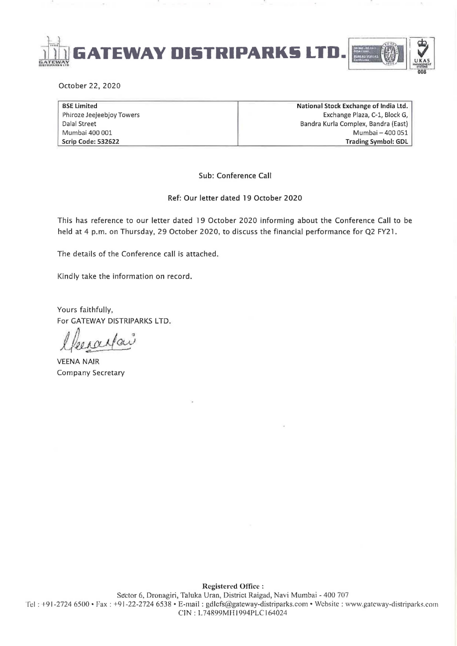

October 22,2020

BSE Limited Phiroze Jeejeebjoy Towers Dalal Street Mumbai 400 001 Scrip Code: 532622

National Stock Exchange of India Ltd. Exchange Plaza, C-1, Block G, Bandra Kurla Complex, Bandra (East) Mumbai - 400 051 Trading Symbol: GDL

Sub: Conference Call

Ref: Our letter dated 19 October 2020

This has reference to our letter dated 19 October 2020 informing about the Conference Call to be held at 4 p.m. on Thursday, 29 October 2020, to discuss the financial performance for Q2 FY21.

The details of the Conference call is attached.

Kindly take the information on record.

Yours faithfully, For GATEWAY DISTRIPARKS LTD.

VEENA NAIR Company Secretary